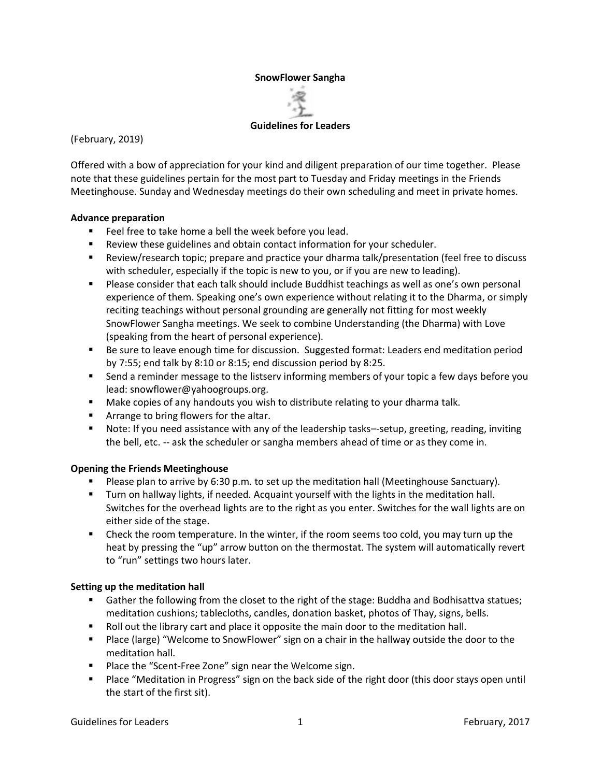#### **SnowFlower Sangha**



(February, 2019)

Offered with a bow of appreciation for your kind and diligent preparation of our time together. Please note that these guidelines pertain for the most part to Tuesday and Friday meetings in the Friends Meetinghouse. Sunday and Wednesday meetings do their own scheduling and meet in private homes.

#### **Advance preparation**

- Feel free to take home a bell the week before you lead.
- Review these guidelines and obtain contact information for your scheduler.
- Review/research topic; prepare and practice your dharma talk/presentation (feel free to discuss with scheduler, especially if the topic is new to you, or if you are new to leading).
- **•** Please consider that each talk should include Buddhist teachings as well as one's own personal experience of them. Speaking one's own experience without relating it to the Dharma, or simply reciting teachings without personal grounding are generally not fitting for most weekly SnowFlower Sangha meetings. We seek to combine Understanding (the Dharma) with Love (speaking from the heart of personal experience).
- Be sure to leave enough time for discussion. Suggested format: Leaders end meditation period by 7:55; end talk by 8:10 or 8:15; end discussion period by 8:25.
- Send a reminder message to the listserv informing members of your topic a few days before you lead: snowflower@yahoogroups.org.
- **■** Make copies of any handouts you wish to distribute relating to your dharma talk.
- Arrange to bring flowers for the altar.
- Note: If you need assistance with any of the leadership tasks—setup, greeting, reading, inviting the bell, etc. -- ask the scheduler or sangha members ahead of time or as they come in.

# **Opening the Friends Meetinghouse**

- Please plan to arrive by 6:30 p.m. to set up the meditation hall (Meetinghouse Sanctuary).
- Turn on hallway lights, if needed. Acquaint yourself with the lights in the meditation hall. Switches for the overhead lights are to the right as you enter. Switches for the wall lights are on either side of the stage.
- Check the room temperature. In the winter, if the room seems too cold, you may turn up the heat by pressing the "up" arrow button on the thermostat. The system will automatically revert to "run" settings two hours later.

# **Setting up the meditation hall**

- Gather the following from the closet to the right of the stage: Buddha and Bodhisattva statues; meditation cushions; tablecloths, candles, donation basket, photos of Thay, signs, bells.
- Roll out the library cart and place it opposite the main door to the meditation hall.
- Place (large) "Welcome to SnowFlower" sign on a chair in the hallway outside the door to the meditation hall.
- Place the "Scent-Free Zone" sign near the Welcome sign.
- Place "Meditation in Progress" sign on the back side of the right door (this door stays open until the start of the first sit).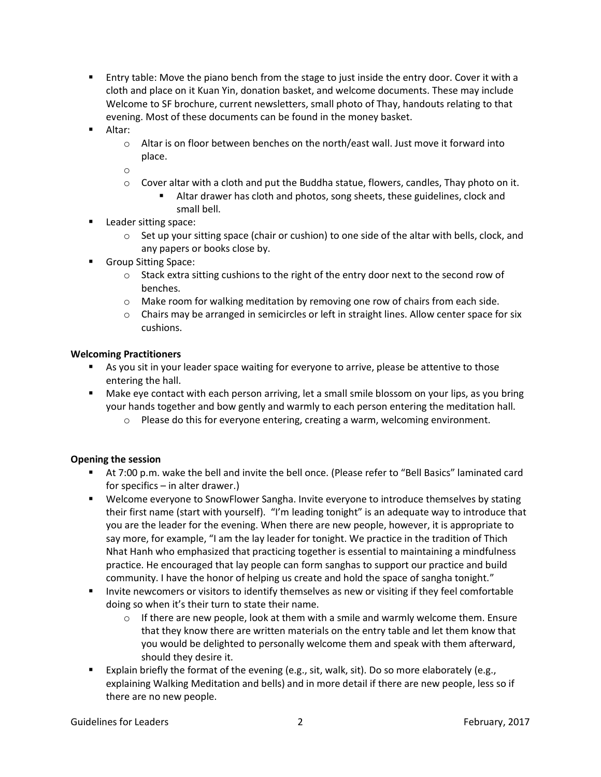- Entry table: Move the piano bench from the stage to just inside the entry door. Cover it with a cloth and place on it Kuan Yin, donation basket, and welcome documents. These may include Welcome to SF brochure, current newsletters, small photo of Thay, handouts relating to that evening. Most of these documents can be found in the money basket.
- Altar:
	- $\circ$  Altar is on floor between benches on the north/east wall. Just move it forward into place.
	- o
	- $\circ$  Cover altar with a cloth and put the Buddha statue, flowers, candles, Thay photo on it.
		- Altar drawer has cloth and photos, song sheets, these guidelines, clock and small bell.
- **Leader sitting space:** 
	- $\circ$  Set up your sitting space (chair or cushion) to one side of the altar with bells, clock, and any papers or books close by.
- Group Sitting Space:
	- $\circ$  Stack extra sitting cushions to the right of the entry door next to the second row of benches.
	- $\circ$  Make room for walking meditation by removing one row of chairs from each side.
	- $\circ$  Chairs may be arranged in semicircles or left in straight lines. Allow center space for six cushions.

#### **Welcoming Practitioners**

- As you sit in your leader space waiting for everyone to arrive, please be attentive to those entering the hall.
- Make eye contact with each person arriving, let a small smile blossom on your lips, as you bring your hands together and bow gently and warmly to each person entering the meditation hall.
	- o Please do this for everyone entering, creating a warm, welcoming environment.

# **Opening the session**

- At 7:00 p.m. wake the bell and invite the bell once. (Please refer to "Bell Basics" laminated card for specifics – in alter drawer.)
- Welcome everyone to SnowFlower Sangha. Invite everyone to introduce themselves by stating their first name (start with yourself). "I'm leading tonight" is an adequate way to introduce that you are the leader for the evening. When there are new people, however, it is appropriate to say more, for example, "I am the lay leader for tonight. We practice in the tradition of Thich Nhat Hanh who emphasized that practicing together is essential to maintaining a mindfulness practice. He encouraged that lay people can form sanghas to support our practice and build community. I have the honor of helping us create and hold the space of sangha tonight."
- Invite newcomers or visitors to identify themselves as new or visiting if they feel comfortable doing so when it's their turn to state their name.
	- $\circ$  If there are new people, look at them with a smile and warmly welcome them. Ensure that they know there are written materials on the entry table and let them know that you would be delighted to personally welcome them and speak with them afterward, should they desire it.
- Explain briefly the format of the evening (e.g., sit, walk, sit). Do so more elaborately (e.g., explaining Walking Meditation and bells) and in more detail if there are new people, less so if there are no new people.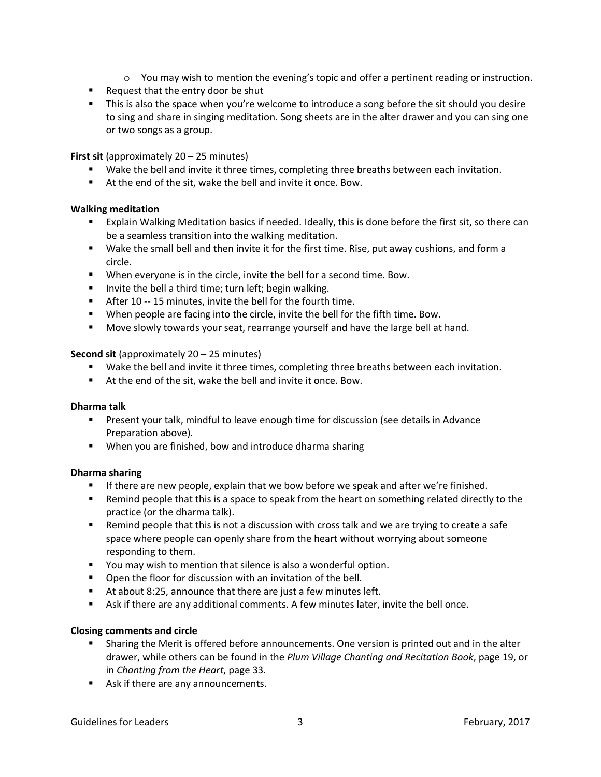- $\circ$  You may wish to mention the evening's topic and offer a pertinent reading or instruction.
- Request that the entry door be shut
- **•** This is also the space when you're welcome to introduce a song before the sit should you desire to sing and share in singing meditation. Song sheets are in the alter drawer and you can sing one or two songs as a group.

**First sit** (approximately 20 – 25 minutes)

- Wake the bell and invite it three times, completing three breaths between each invitation.
- At the end of the sit, wake the bell and invite it once. Bow.

# **Walking meditation**

- Explain Walking Meditation basics if needed. Ideally, this is done before the first sit, so there can be a seamless transition into the walking meditation.
- Wake the small bell and then invite it for the first time. Rise, put away cushions, and form a circle.
- When everyone is in the circle, invite the bell for a second time. Bow.
- Invite the bell a third time; turn left; begin walking.
- After 10 -- 15 minutes, invite the bell for the fourth time.
- When people are facing into the circle, invite the bell for the fifth time. Bow.
- Move slowly towards your seat, rearrange yourself and have the large bell at hand.

**Second sit** (approximately 20 – 25 minutes)

- Wake the bell and invite it three times, completing three breaths between each invitation.
- At the end of the sit, wake the bell and invite it once. Bow.

#### **Dharma talk**

- **•** Present your talk, mindful to leave enough time for discussion (see details in Advance Preparation above).
- When you are finished, bow and introduce dharma sharing

# **Dharma sharing**

- **■** If there are new people, explain that we bow before we speak and after we're finished.
- Remind people that this is a space to speak from the heart on something related directly to the practice (or the dharma talk).
- Remind people that this is not a discussion with cross talk and we are trying to create a safe space where people can openly share from the heart without worrying about someone responding to them.
- You may wish to mention that silence is also a wonderful option.
- Open the floor for discussion with an invitation of the bell.
- At about 8:25, announce that there are just a few minutes left.
- Ask if there are any additional comments. A few minutes later, invite the bell once.

# **Closing comments and circle**

- **•** Sharing the Merit is offered before announcements. One version is printed out and in the alter drawer, while others can be found in the *Plum Village Chanting and Recitation Book*, page 19, or in *Chanting from the Heart*, page 33.
- Ask if there are any announcements.